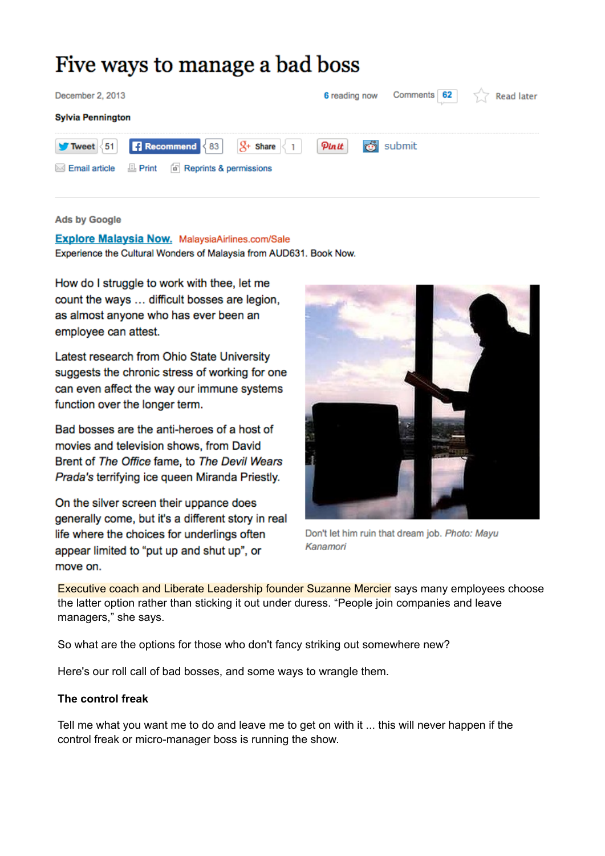# Five ways to manage a bad boss

| December 2, 2013                                                                | 6 reading now | Comments 62 | Read later |
|---------------------------------------------------------------------------------|---------------|-------------|------------|
| <b>Sylvia Pennington</b>                                                        |               |             |            |
| <b>Recommend</b><br>83<br>51<br>Tweet<br>Share                                  | Pinit         | submit      |            |
| $\Box$ Print<br>[d] Reprints & permissions<br><b>Email article</b><br>$\bowtie$ |               |             |            |
|                                                                                 |               |             |            |

#### **Ads by Google**

Explore Malaysia Now. MalaysiaAirlines.com/Sale Experience the Cultural Wonders of Malaysia from AUD631. Book Now.

How do I struggle to work with thee, let me count the ways ... difficult bosses are legion, as almost anyone who has ever been an employee can attest.

Latest research from Ohio State University suggests the chronic stress of working for one can even affect the way our immune systems function over the longer term.

Bad bosses are the anti-heroes of a host of movies and television shows, from David Brent of The Office fame, to The Devil Wears Prada's terrifying ice queen Miranda Priestly.

On the silver screen their uppance does generally come, but it's a different story in real life where the choices for underlings often appear limited to "put up and shut up", or move on.



Don't let him ruin that dream job. Photo: Mayu Kanamori

Executive coach and Liberate Leadership founder Suzanne Mercier says many employees choose the latter option rather than sticking it out under duress. "People join companies and leave managers," she says.

So what are the options for those who don't fancy striking out somewhere new?

Here's our roll call of bad bosses, and some ways to wrangle them.

#### **The control freak**

Tell me what you want me to do and leave me to get on with it ... this will never happen if the control freak or micro-manager boss is running the show.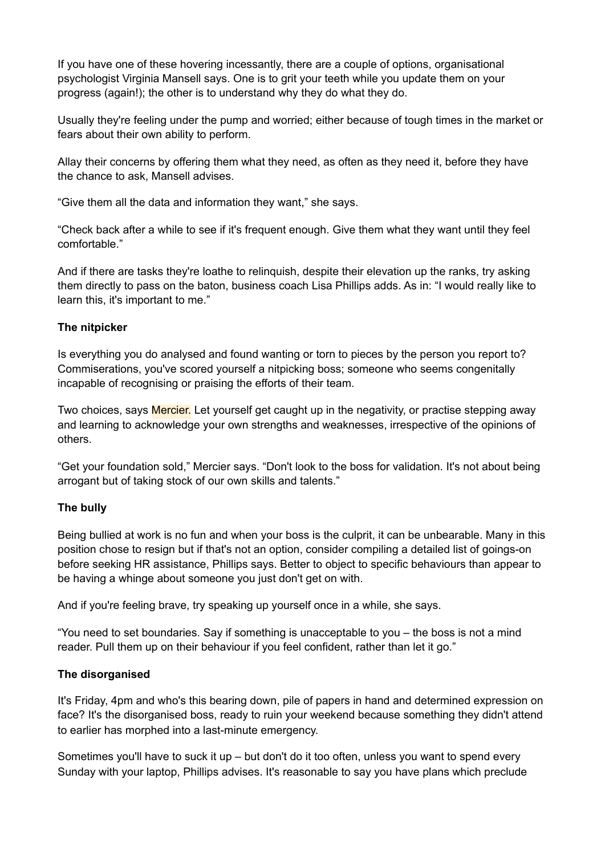If you have one of these hovering incessantly, there are a couple of options, organisational psychologist Virginia Mansell says. One is to grit your teeth while you update them on your progress (again!); the other is to understand why they do what they do.

Usually they're feeling under the pump and worried; either because of tough times in the market or fears about their own ability to perform.

Allay their concerns by offering them what they need, as often as they need it, before they have the chance to ask, Mansell advises.

"Give them all the data and information they want," she says.

"Check back after a while to see if it's frequent enough. Give them what they want until they feel comfortable."

And if there are tasks they're loathe to relinquish, despite their elevation up the ranks, try asking them directly to pass on the baton, business coach Lisa Phillips adds. As in: "I would really like to learn this, it's important to me."

### **The nitpicker**

Is everything you do analysed and found wanting or torn to pieces by the person you report to? Commiserations, you've scored yourself a nitpicking boss; someone who seems congenitally incapable of recognising or praising the efforts of their team.

Two choices, says Mercier. Let yourself get caught up in the negativity, or practise stepping away and learning to acknowledge your own strengths and weaknesses, irrespective of the opinions of others.

"Get your foundation sold," Mercier says. "Don't look to the boss for validation. It's not about being arrogant but of taking stock of our own skills and talents."

#### **The bully**

Being bullied at work is no fun and when your boss is the culprit, it can be unbearable. Many in this position chose to resign but if that's not an option, consider compiling a detailed list of goings-on before seeking HR assistance, Phillips says. Better to object to specific behaviours than appear to be having a whinge about someone you just don't get on with.

And if you're feeling brave, try speaking up yourself once in a while, she says.

"You need to set boundaries. Say if something is unacceptable to you – the boss is not a mind reader. Pull them up on their behaviour if you feel confident, rather than let it go."

#### **The disorganised**

It's Friday, 4pm and who's this bearing down, pile of papers in hand and determined expression on face? It's the disorganised boss, ready to ruin your weekend because something they didn't attend to earlier has morphed into a last-minute emergency.

Sometimes you'll have to suck it up – but don't do it too often, unless you want to spend every Sunday with your laptop, Phillips advises. It's reasonable to say you have plans which preclude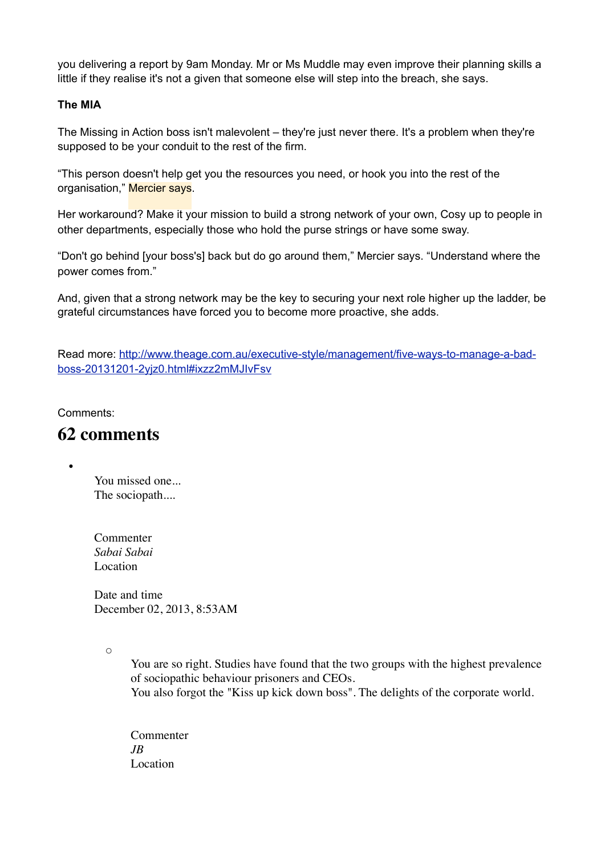you delivering a report by 9am Monday. Mr or Ms Muddle may even improve their planning skills a little if they realise it's not a given that someone else will step into the breach, she says.

### **The MIA**

The Missing in Action boss isn't malevolent – they're just never there. It's a problem when they're supposed to be your conduit to the rest of the firm.

"This person doesn't help get you the resources you need, or hook you into the rest of the organisation," Mercier says.

Her workaround? Make it your mission to build a strong network of your own, Cosy up to people in other departments, especially those who hold the purse strings or have some sway.

"Don't go behind [your boss's] back but do go around them," Mercier says. "Understand where the power comes from."

And, given that a strong network may be the key to securing your next role higher up the ladder, be grateful circumstances have forced you to become more proactive, she adds.

Read more: [http://www.theage.com.au/executive-style/management/five-ways-to-manage-a-bad](http://www.theage.com.au/executive-style/management/five-ways-to-manage-a-bad-boss-20131201-2yjz0.html#ixzz2mMJIvFsv)[boss-20131201-2yjz0.html#ixzz2mMJIvFsv](http://www.theage.com.au/executive-style/management/five-ways-to-manage-a-bad-boss-20131201-2yjz0.html#ixzz2mMJIvFsv)

Comments:

•

## **62 comments**

You missed one... The sociopath....

Commenter *Sabai Sabai* Location

Date and time December 02, 2013, 8:53AM

 $\circ$ 

You are so right. Studies have found that the two groups with the highest prevalence of sociopathic behaviour prisoners and CEOs. You also forgot the "Kiss up kick down boss". The delights of the corporate world.

Commenter *JB* Location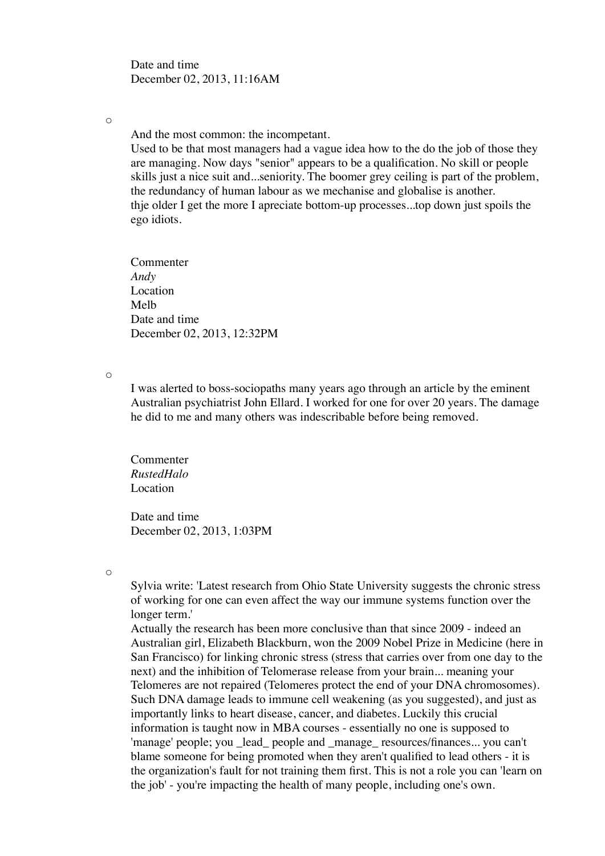Date and time December 02, 2013, 11:16AM

 $\circ$ 

And the most common: the incompetant.

Used to be that most managers had a vague idea how to the do the job of those they are managing. Now days "senior" appears to be a qualification. No skill or people skills just a nice suit and...seniority. The boomer grey ceiling is part of the problem, the redundancy of human labour as we mechanise and globalise is another. thje older I get the more I apreciate bottom-up processes...top down just spoils the ego idiots.

Commenter *Andy* Location Melb Date and time December 02, 2013, 12:32PM

 $\circ$ 

I was alerted to boss-sociopaths many years ago through an article by the eminent Australian psychiatrist John Ellard. I worked for one for over 20 years. The damage he did to me and many others was indescribable before being removed.

Commenter *RustedHalo* Location

Date and time December 02, 2013, 1:03PM

 $\circ$ 

Sylvia write: 'Latest research from Ohio State University suggests the chronic stress of working for one can even affect the way our immune systems function over the longer term.'

Actually the research has been more conclusive than that since 2009 - indeed an Australian girl, Elizabeth Blackburn, won the 2009 Nobel Prize in Medicine (here in San Francisco) for linking chronic stress (stress that carries over from one day to the next) and the inhibition of Telomerase release from your brain... meaning your Telomeres are not repaired (Telomeres protect the end of your DNA chromosomes). Such DNA damage leads to immune cell weakening (as you suggested), and just as importantly links to heart disease, cancer, and diabetes. Luckily this crucial information is taught now in MBA courses - essentially no one is supposed to 'manage' people; you \_lead\_ people and \_manage\_ resources/finances... you can't blame someone for being promoted when they aren't qualified to lead others - it is the organization's fault for not training them first. This is not a role you can 'learn on the job' - you're impacting the health of many people, including one's own.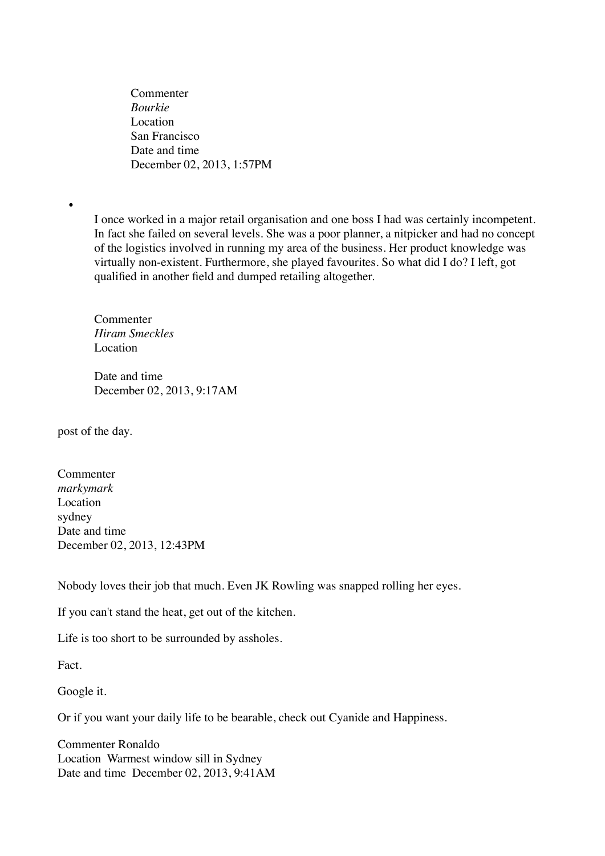Commenter *Bourkie* Location San Francisco Date and time December 02, 2013, 1:57PM

I once worked in a major retail organisation and one boss I had was certainly incompetent. In fact she failed on several levels. She was a poor planner, a nitpicker and had no concept of the logistics involved in running my area of the business. Her product knowledge was virtually non-existent. Furthermore, she played favourites. So what did I do? I left, got qualified in another field and dumped retailing altogether.

Commenter *Hiram Smeckles* Location

Date and time December 02, 2013, 9:17AM

post of the day.

•

Commenter *markymark* Location sydney Date and time December 02, 2013, 12:43PM

Nobody loves their job that much. Even JK Rowling was snapped rolling her eyes.

If you can't stand the heat, get out of the kitchen.

Life is too short to be surrounded by assholes.

Fact.

Google it.

Or if you want your daily life to be bearable, check out Cyanide and Happiness.

Commenter Ronaldo Location Warmest window sill in Sydney Date and time December 02, 2013, 9:41AM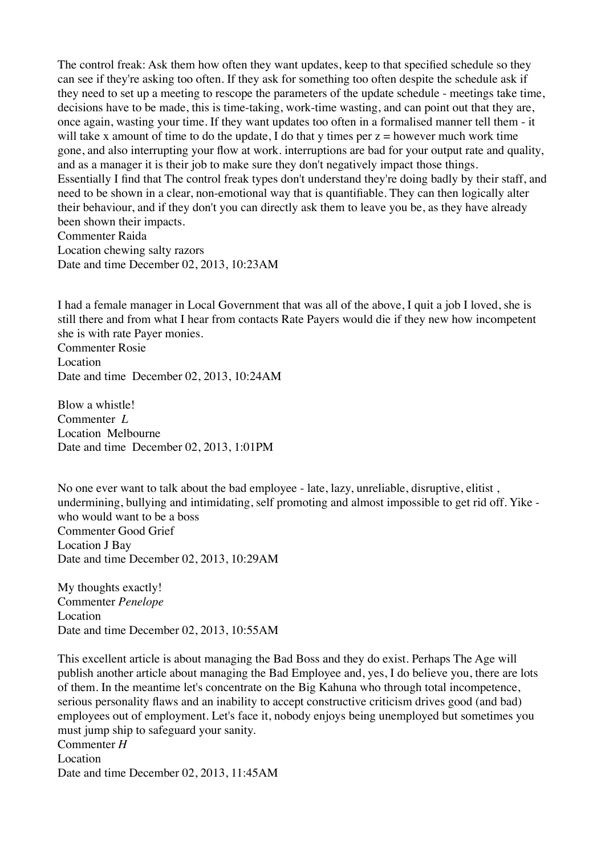The control freak: Ask them how often they want updates, keep to that specified schedule so they can see if they're asking too often. If they ask for something too often despite the schedule ask if they need to set up a meeting to rescope the parameters of the update schedule - meetings take time, decisions have to be made, this is time-taking, work-time wasting, and can point out that they are, once again, wasting your time. If they want updates too often in a formalised manner tell them - it will take x amount of time to do the update, I do that y times per  $z =$  however much work time gone, and also interrupting your flow at work. interruptions are bad for your output rate and quality, and as a manager it is their job to make sure they don't negatively impact those things. Essentially I find that The control freak types don't understand they're doing badly by their staff, and need to be shown in a clear, non-emotional way that is quantifiable. They can then logically alter their behaviour, and if they don't you can directly ask them to leave you be, as they have already been shown their impacts. Commenter Raida Location chewing salty razors Date and time December 02, 2013, 10:23AM

I had a female manager in Local Government that was all of the above, I quit a job I loved, she is still there and from what I hear from contacts Rate Payers would die if they new how incompetent she is with rate Payer monies. Commenter Rosie Location

Date and time December 02, 2013, 10:24AM

Blow a whistle! Commenter *L* Location Melbourne Date and time December 02, 2013, 1:01PM

No one ever want to talk about the bad employee - late, lazy, unreliable, disruptive, elitist , undermining, bullying and intimidating, self promoting and almost impossible to get rid off. Yike who would want to be a boss Commenter Good Grief Location J Bay Date and time December 02, 2013, 10:29AM

My thoughts exactly! Commenter *Penelope* Location Date and time December 02, 2013, 10:55AM

This excellent article is about managing the Bad Boss and they do exist. Perhaps The Age will publish another article about managing the Bad Employee and, yes, I do believe you, there are lots of them. In the meantime let's concentrate on the Big Kahuna who through total incompetence, serious personality flaws and an inability to accept constructive criticism drives good (and bad) employees out of employment. Let's face it, nobody enjoys being unemployed but sometimes you must jump ship to safeguard your sanity. Commenter *H* Location Date and time December 02, 2013, 11:45AM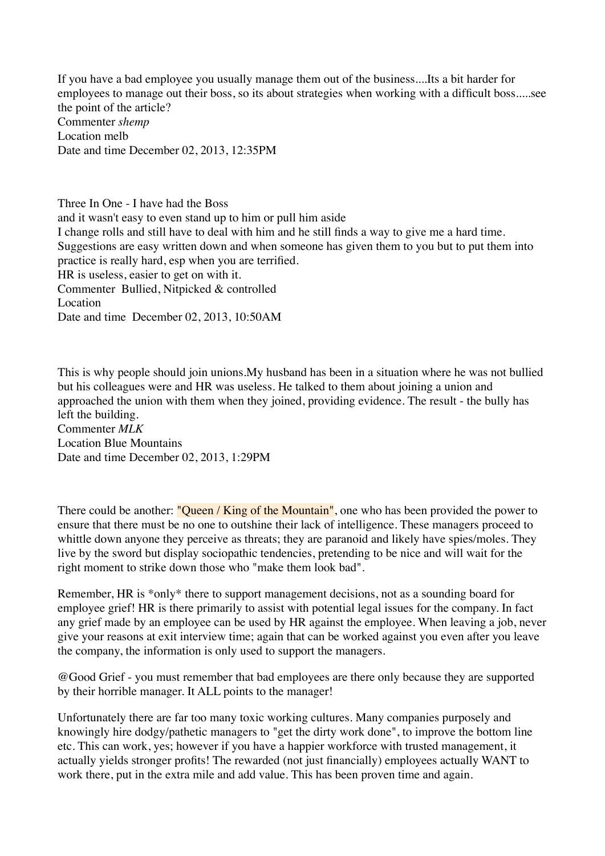If you have a bad employee you usually manage them out of the business....Its a bit harder for employees to manage out their boss, so its about strategies when working with a difficult boss.....see the point of the article? Commenter *shemp* Location melb Date and time December 02, 2013, 12:35PM

Three In One - I have had the Boss and it wasn't easy to even stand up to him or pull him aside I change rolls and still have to deal with him and he still finds a way to give me a hard time. Suggestions are easy written down and when someone has given them to you but to put them into practice is really hard, esp when you are terrified. HR is useless, easier to get on with it. Commenter Bullied, Nitpicked & controlled Location Date and time December 02, 2013, 10:50AM

This is why people should join unions.My husband has been in a situation where he was not bullied but his colleagues were and HR was useless. He talked to them about joining a union and approached the union with them when they joined, providing evidence. The result - the bully has left the building. Commenter *MLK* Location Blue Mountains Date and time December 02, 2013, 1:29PM

There could be another: "Queen / King of the Mountain", one who has been provided the power to ensure that there must be no one to outshine their lack of intelligence. These managers proceed to whittle down anyone they perceive as threats; they are paranoid and likely have spies/moles. They live by the sword but display sociopathic tendencies, pretending to be nice and will wait for the right moment to strike down those who "make them look bad".

Remember, HR is \*only\* there to support management decisions, not as a sounding board for employee grief! HR is there primarily to assist with potential legal issues for the company. In fact any grief made by an employee can be used by HR against the employee. When leaving a job, never give your reasons at exit interview time; again that can be worked against you even after you leave the company, the information is only used to support the managers.

@Good Grief - you must remember that bad employees are there only because they are supported by their horrible manager. It ALL points to the manager!

Unfortunately there are far too many toxic working cultures. Many companies purposely and knowingly hire dodgy/pathetic managers to "get the dirty work done", to improve the bottom line etc. This can work, yes; however if you have a happier workforce with trusted management, it actually yields stronger profits! The rewarded (not just financially) employees actually WANT to work there, put in the extra mile and add value. This has been proven time and again.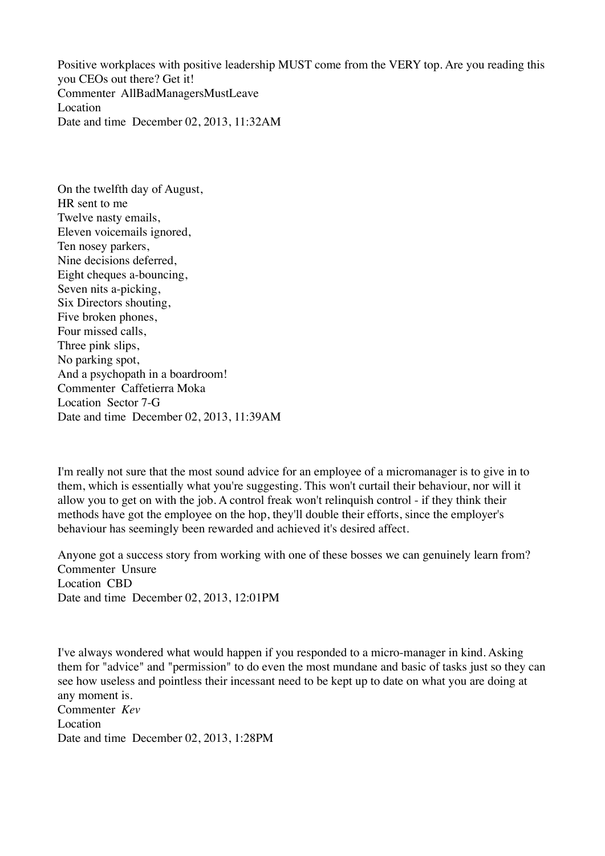Positive workplaces with positive leadership MUST come from the VERY top. Are you reading this you CEOs out there? Get it! Commenter AllBadManagersMustLeave Location Date and time December 02, 2013, 11:32AM

On the twelfth day of August, HR sent to me Twelve nasty emails, Eleven voicemails ignored, Ten nosey parkers, Nine decisions deferred, Eight cheques a-bouncing, Seven nits a-picking, Six Directors shouting, Five broken phones, Four missed calls, Three pink slips, No parking spot, And a psychopath in a boardroom! Commenter Caffetierra Moka Location Sector 7-G Date and time December 02, 2013, 11:39AM

I'm really not sure that the most sound advice for an employee of a micromanager is to give in to them, which is essentially what you're suggesting. This won't curtail their behaviour, nor will it allow you to get on with the job. A control freak won't relinquish control - if they think their methods have got the employee on the hop, they'll double their efforts, since the employer's behaviour has seemingly been rewarded and achieved it's desired affect.

Anyone got a success story from working with one of these bosses we can genuinely learn from? Commenter Unsure Location CBD Date and time December 02, 2013, 12:01PM

I've always wondered what would happen if you responded to a micro-manager in kind. Asking them for "advice" and "permission" to do even the most mundane and basic of tasks just so they can see how useless and pointless their incessant need to be kept up to date on what you are doing at any moment is. Commenter *Kev* Location Date and time December 02, 2013, 1:28PM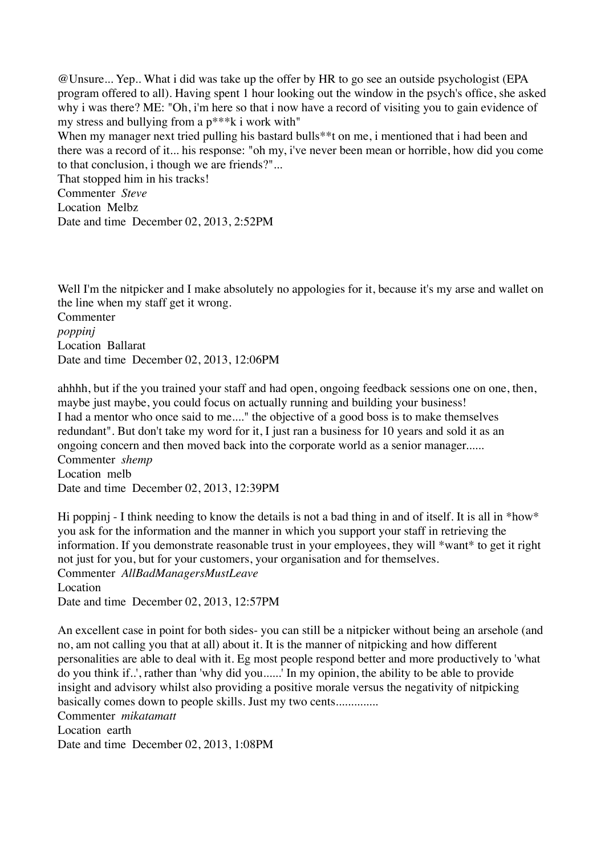@Unsure... Yep.. What i did was take up the offer by HR to go see an outside psychologist (EPA program offered to all). Having spent 1 hour looking out the window in the psych's office, she asked why i was there? ME: "Oh, i'm here so that i now have a record of visiting you to gain evidence of my stress and bullying from a p\*\*\*k i work with"

When my manager next tried pulling his bastard bulls<sup>\*\*</sup>t on me, i mentioned that i had been and there was a record of it... his response: "oh my, i've never been mean or horrible, how did you come to that conclusion, i though we are friends?"...

That stopped him in his tracks! Commenter *Steve* Location Melbz Date and time December 02, 2013, 2:52PM

Well I'm the nitpicker and I make absolutely no appologies for it, because it's my arse and wallet on the line when my staff get it wrong. Commenter *poppinj* Location Ballarat Date and time December 02, 2013, 12:06PM

ahhhh, but if the you trained your staff and had open, ongoing feedback sessions one on one, then, maybe just maybe, you could focus on actually running and building your business! I had a mentor who once said to me...." the objective of a good boss is to make themselves redundant". But don't take my word for it, I just ran a business for 10 years and sold it as an ongoing concern and then moved back into the corporate world as a senior manager...... Commenter *shemp* Location melb Date and time December 02, 2013, 12:39PM

Hi poppinj - I think needing to know the details is not a bad thing in and of itself. It is all in \*how\* you ask for the information and the manner in which you support your staff in retrieving the information. If you demonstrate reasonable trust in your employees, they will \*want\* to get it right not just for you, but for your customers, your organisation and for themselves. Commenter *AllBadManagersMustLeave* Location Date and time December 02, 2013, 12:57PM

An excellent case in point for both sides- you can still be a nitpicker without being an arsehole (and no, am not calling you that at all) about it. It is the manner of nitpicking and how different personalities are able to deal with it. Eg most people respond better and more productively to 'what do you think if..', rather than 'why did you......' In my opinion, the ability to be able to provide insight and advisory whilst also providing a positive morale versus the negativity of nitpicking basically comes down to people skills. Just my two cents..............

Commenter *mikatamatt* Location earth Date and time December 02, 2013, 1:08PM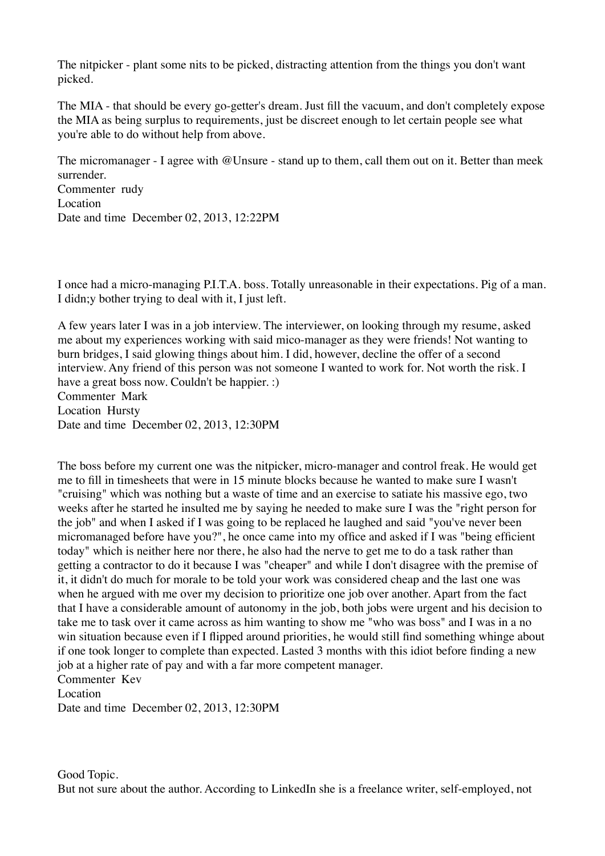The nitpicker - plant some nits to be picked, distracting attention from the things you don't want picked.

The MIA - that should be every go-getter's dream. Just fill the vacuum, and don't completely expose the MIA as being surplus to requirements, just be discreet enough to let certain people see what you're able to do without help from above.

The micromanager - I agree with @Unsure - stand up to them, call them out on it. Better than meek surrender. Commenter rudy Location Date and time December 02, 2013, 12:22PM

I once had a micro-managing P.I.T.A. boss. Totally unreasonable in their expectations. Pig of a man. I didn;y bother trying to deal with it, I just left.

A few years later I was in a job interview. The interviewer, on looking through my resume, asked me about my experiences working with said mico-manager as they were friends! Not wanting to burn bridges, I said glowing things about him. I did, however, decline the offer of a second interview. Any friend of this person was not someone I wanted to work for. Not worth the risk. I have a great boss now. Couldn't be happier. :) Commenter Mark Location Hursty

Date and time December 02, 2013, 12:30PM

The boss before my current one was the nitpicker, micro-manager and control freak. He would get me to fill in timesheets that were in 15 minute blocks because he wanted to make sure I wasn't "cruising" which was nothing but a waste of time and an exercise to satiate his massive ego, two weeks after he started he insulted me by saying he needed to make sure I was the "right person for the job" and when I asked if I was going to be replaced he laughed and said "you've never been micromanaged before have you?", he once came into my office and asked if I was "being efficient today" which is neither here nor there, he also had the nerve to get me to do a task rather than getting a contractor to do it because I was "cheaper" and while I don't disagree with the premise of it, it didn't do much for morale to be told your work was considered cheap and the last one was when he argued with me over my decision to prioritize one job over another. Apart from the fact that I have a considerable amount of autonomy in the job, both jobs were urgent and his decision to take me to task over it came across as him wanting to show me "who was boss" and I was in a no win situation because even if I flipped around priorities, he would still find something whinge about if one took longer to complete than expected. Lasted 3 months with this idiot before finding a new job at a higher rate of pay and with a far more competent manager. Commenter Kev

Location

Date and time December 02, 2013, 12:30PM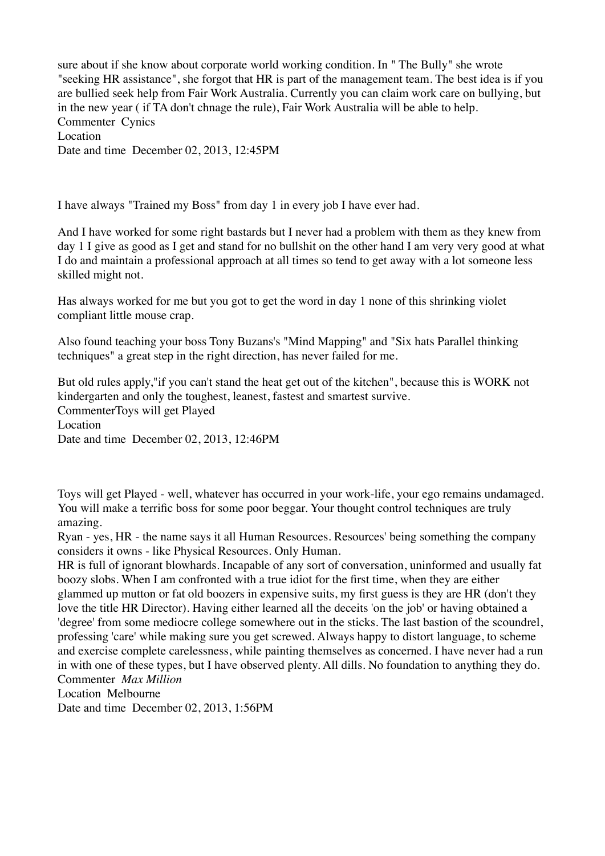sure about if she know about corporate world working condition. In " The Bully" she wrote "seeking HR assistance", she forgot that HR is part of the management team. The best idea is if you are bullied seek help from Fair Work Australia. Currently you can claim work care on bullying, but in the new year ( if TA don't chnage the rule), Fair Work Australia will be able to help. Commenter Cynics Location Date and time December 02, 2013, 12:45PM

I have always "Trained my Boss" from day 1 in every job I have ever had.

And I have worked for some right bastards but I never had a problem with them as they knew from day 1 I give as good as I get and stand for no bullshit on the other hand I am very very good at what I do and maintain a professional approach at all times so tend to get away with a lot someone less skilled might not.

Has always worked for me but you got to get the word in day 1 none of this shrinking violet compliant little mouse crap.

Also found teaching your boss Tony Buzans's "Mind Mapping" and "Six hats Parallel thinking techniques" a great step in the right direction, has never failed for me.

But old rules apply,"if you can't stand the heat get out of the kitchen", because this is WORK not kindergarten and only the toughest, leanest, fastest and smartest survive. CommenterToys will get Played Location Date and time December 02, 2013, 12:46PM

Toys will get Played - well, whatever has occurred in your work-life, your ego remains undamaged. You will make a terrific boss for some poor beggar. Your thought control techniques are truly amazing.

Ryan - yes, HR - the name says it all Human Resources. Resources' being something the company considers it owns - like Physical Resources. Only Human.

HR is full of ignorant blowhards. Incapable of any sort of conversation, uninformed and usually fat boozy slobs. When I am confronted with a true idiot for the first time, when they are either glammed up mutton or fat old boozers in expensive suits, my first guess is they are HR (don't they love the title HR Director). Having either learned all the deceits 'on the job' or having obtained a 'degree' from some mediocre college somewhere out in the sticks. The last bastion of the scoundrel, professing 'care' while making sure you get screwed. Always happy to distort language, to scheme and exercise complete carelessness, while painting themselves as concerned. I have never had a run in with one of these types, but I have observed plenty. All dills. No foundation to anything they do. Commenter *Max Million*

Location Melbourne

Date and time December 02, 2013, 1:56PM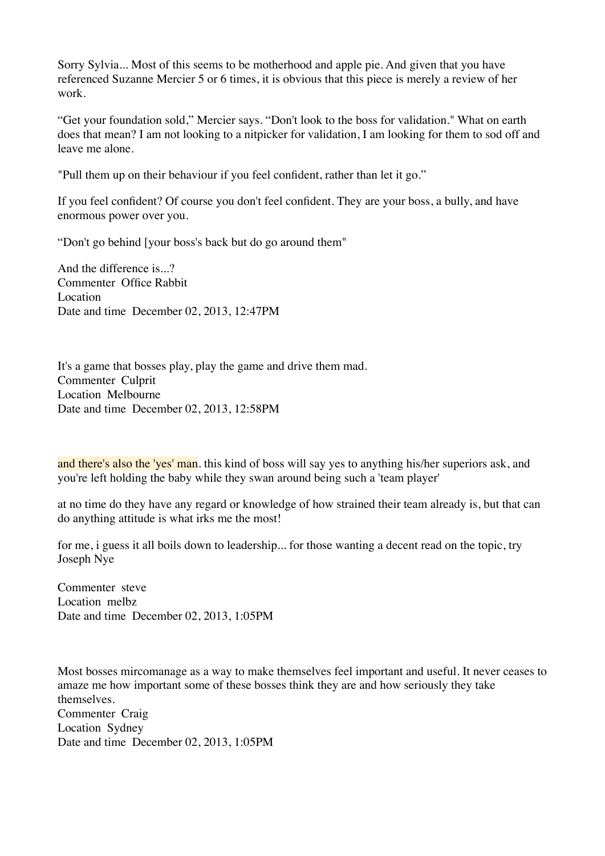Sorry Sylvia... Most of this seems to be motherhood and apple pie. And given that you have referenced Suzanne Mercier 5 or 6 times, it is obvious that this piece is merely a review of her work.

"Get your foundation sold," Mercier says. "Don't look to the boss for validation." What on earth does that mean? I am not looking to a nitpicker for validation, I am looking for them to sod off and leave me alone.

"Pull them up on their behaviour if you feel confident, rather than let it go."

If you feel confident? Of course you don't feel confident. They are your boss, a bully, and have enormous power over you.

"Don't go behind [your boss's back but do go around them"

And the difference is...? Commenter Office Rabbit Location Date and time December 02, 2013, 12:47PM

It's a game that bosses play, play the game and drive them mad. Commenter Culprit Location Melbourne Date and time December 02, 2013, 12:58PM

and there's also the 'yes' man. this kind of boss will say yes to anything his/her superiors ask, and you're left holding the baby while they swan around being such a 'team player'

at no time do they have any regard or knowledge of how strained their team already is, but that can do anything attitude is what irks me the most!

for me, i guess it all boils down to leadership... for those wanting a decent read on the topic, try Joseph Nye

Commenter steve Location melbz Date and time December 02, 2013, 1:05PM

Most bosses mircomanage as a way to make themselves feel important and useful. It never ceases to amaze me how important some of these bosses think they are and how seriously they take themselves. Commenter Craig Location Sydney Date and time December 02, 2013, 1:05PM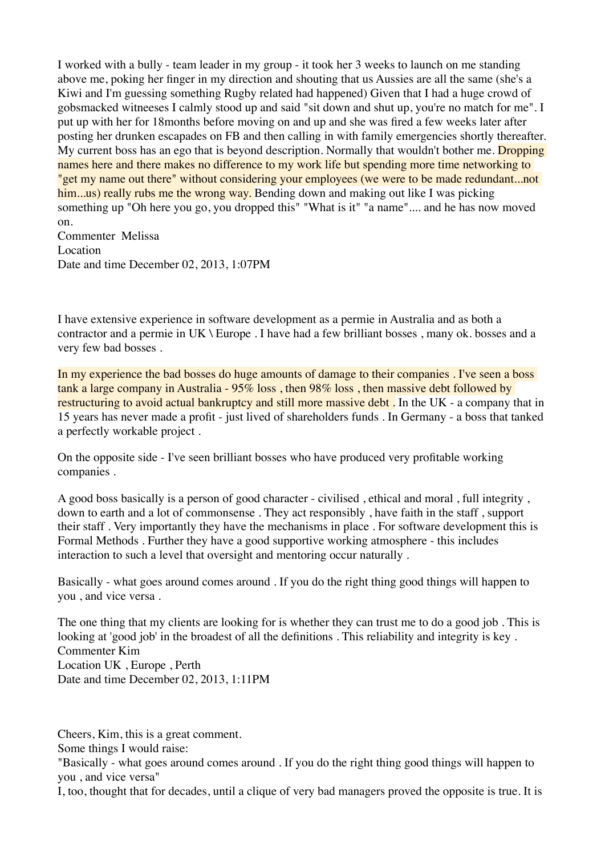I worked with a bully - team leader in my group - it took her 3 weeks to launch on me standing above me, poking her finger in my direction and shouting that us Aussies are all the same (she's a Kiwi and I'm guessing something Rugby related had happened) Given that I had a huge crowd of gobsmacked witneeses I calmly stood up and said "sit down and shut up, you're no match for me". I put up with her for 18months before moving on and up and she was fired a few weeks later after posting her drunken escapades on FB and then calling in with family emergencies shortly thereafter. My current boss has an ego that is beyond description. Normally that wouldn't bother me. Dropping names here and there makes no difference to my work life but spending more time networking to "get my name out there" without considering your employees (we were to be made redundant...not him...us) really rubs me the wrong way. Bending down and making out like I was picking something up "Oh here you go, you dropped this" "What is it" "a name".... and he has now moved on.

Commenter Melissa Location Date and time December 02, 2013, 1:07PM

I have extensive experience in software development as a permie in Australia and as both a contractor and a permie in UK \ Europe . I have had a few brilliant bosses , many ok. bosses and a very few bad bosses .

In my experience the bad bosses do huge amounts of damage to their companies. I've seen a boss tank a large company in Australia - 95% loss , then 98% loss , then massive debt followed by restructuring to avoid actual bankruptcy and still more massive debt. In the UK - a company that in 15 years has never made a profit - just lived of shareholders funds . In Germany - a boss that tanked a perfectly workable project .

On the opposite side - I've seen brilliant bosses who have produced very profitable working companies .

A good boss basically is a person of good character - civilised , ethical and moral , full integrity , down to earth and a lot of commonsense . They act responsibly , have faith in the staff , support their staff . Very importantly they have the mechanisms in place . For software development this is Formal Methods . Further they have a good supportive working atmosphere - this includes interaction to such a level that oversight and mentoring occur naturally .

Basically - what goes around comes around . If you do the right thing good things will happen to you , and vice versa .

The one thing that my clients are looking for is whether they can trust me to do a good job . This is looking at 'good job' in the broadest of all the definitions . This reliability and integrity is key . Commenter Kim Location UK , Europe , Perth Date and time December 02, 2013, 1:11PM

Cheers, Kim, this is a great comment.

Some things I would raise:

"Basically - what goes around comes around . If you do the right thing good things will happen to you , and vice versa"

I, too, thought that for decades, until a clique of very bad managers proved the opposite is true. It is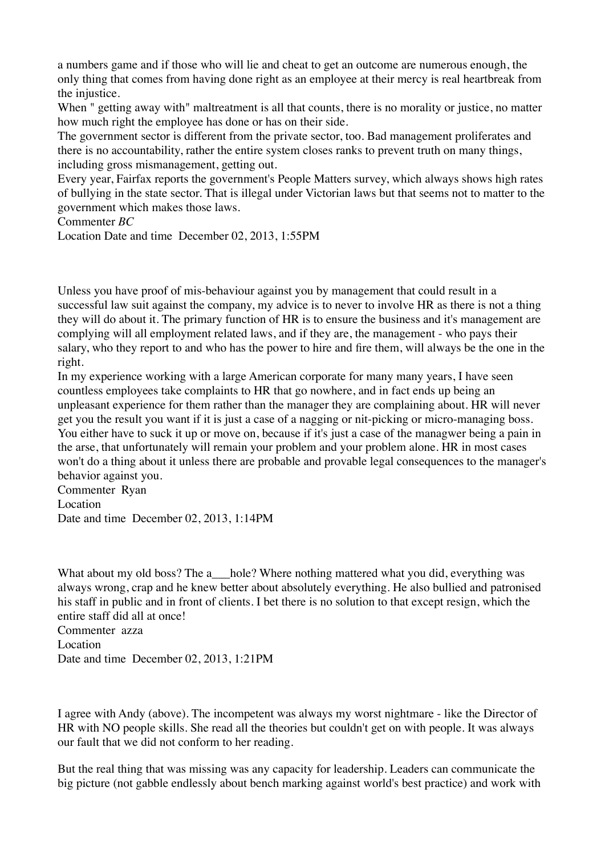a numbers game and if those who will lie and cheat to get an outcome are numerous enough, the only thing that comes from having done right as an employee at their mercy is real heartbreak from the injustice.

When " getting away with" maltreatment is all that counts, there is no morality or justice, no matter how much right the employee has done or has on their side.

The government sector is different from the private sector, too. Bad management proliferates and there is no accountability, rather the entire system closes ranks to prevent truth on many things, including gross mismanagement, getting out.

Every year, Fairfax reports the government's People Matters survey, which always shows high rates of bullying in the state sector. That is illegal under Victorian laws but that seems not to matter to the government which makes those laws.

Commenter *BC*

Location Date and time December 02, 2013, 1:55PM

Unless you have proof of mis-behaviour against you by management that could result in a successful law suit against the company, my advice is to never to involve HR as there is not a thing they will do about it. The primary function of HR is to ensure the business and it's management are complying will all employment related laws, and if they are, the management - who pays their salary, who they report to and who has the power to hire and fire them, will always be the one in the right.

In my experience working with a large American corporate for many many years, I have seen countless employees take complaints to HR that go nowhere, and in fact ends up being an unpleasant experience for them rather than the manager they are complaining about. HR will never get you the result you want if it is just a case of a nagging or nit-picking or micro-managing boss. You either have to suck it up or move on, because if it's just a case of the managwer being a pain in the arse, that unfortunately will remain your problem and your problem alone. HR in most cases won't do a thing about it unless there are probable and provable legal consequences to the manager's behavior against you.

Commenter Ryan Location Date and time December 02, 2013, 1:14PM

What about my old boss? The a \_\_\_hole? Where nothing mattered what you did, everything was always wrong, crap and he knew better about absolutely everything. He also bullied and patronised his staff in public and in front of clients. I bet there is no solution to that except resign, which the entire staff did all at once!

Commenter azza Location Date and time December 02, 2013, 1:21PM

I agree with Andy (above). The incompetent was always my worst nightmare - like the Director of HR with NO people skills. She read all the theories but couldn't get on with people. It was always our fault that we did not conform to her reading.

But the real thing that was missing was any capacity for leadership. Leaders can communicate the big picture (not gabble endlessly about bench marking against world's best practice) and work with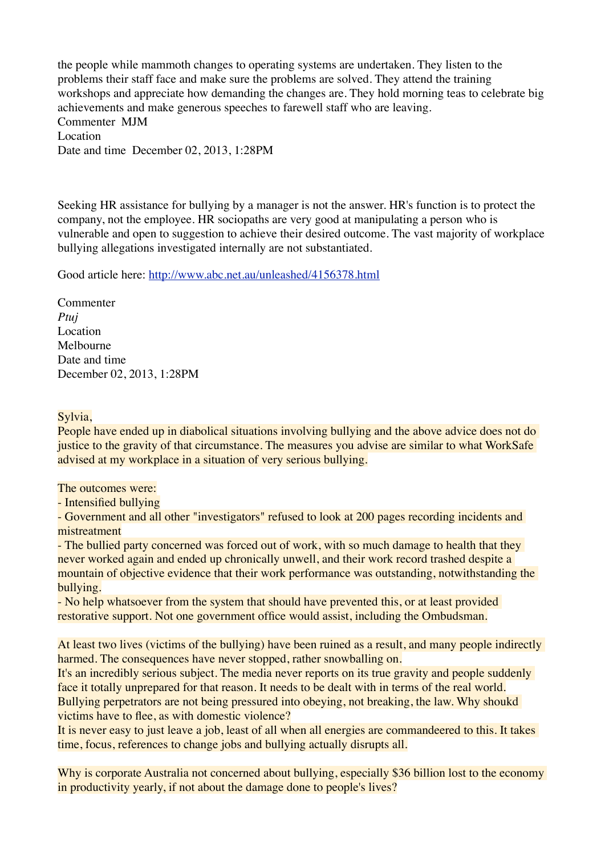the people while mammoth changes to operating systems are undertaken. They listen to the problems their staff face and make sure the problems are solved. They attend the training workshops and appreciate how demanding the changes are. They hold morning teas to celebrate big achievements and make generous speeches to farewell staff who are leaving. Commenter MJM Location Date and time December 02, 2013, 1:28PM

Seeking HR assistance for bullying by a manager is not the answer. HR's function is to protect the company, not the employee. HR sociopaths are very good at manipulating a person who is vulnerable and open to suggestion to achieve their desired outcome. The vast majority of workplace bullying allegations investigated internally are not substantiated.

Good article here:<http://www.abc.net.au/unleashed/4156378.html>

Commenter *Ptuj* Location Melbourne Date and time December 02, 2013, 1:28PM

#### Sylvia,

People have ended up in diabolical situations involving bullying and the above advice does not do justice to the gravity of that circumstance. The measures you advise are similar to what WorkSafe advised at my workplace in a situation of very serious bullying.

The outcomes were:

- Intensified bullying

- Government and all other "investigators" refused to look at 200 pages recording incidents and mistreatment

- The bullied party concerned was forced out of work, with so much damage to health that they never worked again and ended up chronically unwell, and their work record trashed despite a mountain of objective evidence that their work performance was outstanding, notwithstanding the bullying.

- No help whatsoever from the system that should have prevented this, or at least provided restorative support. Not one government office would assist, including the Ombudsman.

At least two lives (victims of the bullying) have been ruined as a result, and many people indirectly harmed. The consequences have never stopped, rather snowballing on.

It's an incredibly serious subject. The media never reports on its true gravity and people suddenly face it totally unprepared for that reason. It needs to be dealt with in terms of the real world. Bullying perpetrators are not being pressured into obeying, not breaking, the law. Why shoukd victims have to flee, as with domestic violence?

It is never easy to just leave a job, least of all when all energies are commandeered to this. It takes time, focus, references to change jobs and bullying actually disrupts all.

Why is corporate Australia not concerned about bullying, especially \$36 billion lost to the economy in productivity yearly, if not about the damage done to people's lives?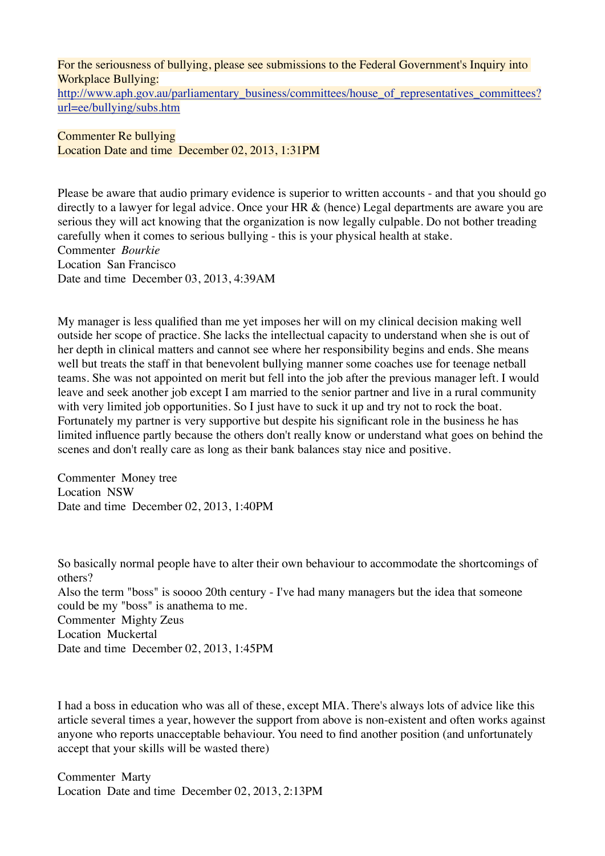For the seriousness of bullying, please see submissions to the Federal Government's Inquiry into Workplace Bullying:

[http://www.aph.gov.au/parliamentary\\_business/committees/house\\_of\\_representatives\\_committees?](http://www.aph.gov.au/parliamentary_business/committees/house_of_representatives_committees?url=ee/bullying/subs.htm) [url=ee/bullying/subs.htm](http://www.aph.gov.au/parliamentary_business/committees/house_of_representatives_committees?url=ee/bullying/subs.htm)

Commenter Re bullying Location Date and time December 02, 2013, 1:31PM

Please be aware that audio primary evidence is superior to written accounts - and that you should go directly to a lawyer for legal advice. Once your HR & (hence) Legal departments are aware you are serious they will act knowing that the organization is now legally culpable. Do not bother treading carefully when it comes to serious bullying - this is your physical health at stake. Commenter *Bourkie* Location San Francisco Date and time December 03, 2013, 4:39AM

My manager is less qualified than me yet imposes her will on my clinical decision making well outside her scope of practice. She lacks the intellectual capacity to understand when she is out of her depth in clinical matters and cannot see where her responsibility begins and ends. She means well but treats the staff in that benevolent bullying manner some coaches use for teenage netball teams. She was not appointed on merit but fell into the job after the previous manager left. I would leave and seek another job except I am married to the senior partner and live in a rural community with very limited job opportunities. So I just have to suck it up and try not to rock the boat. Fortunately my partner is very supportive but despite his significant role in the business he has limited influence partly because the others don't really know or understand what goes on behind the scenes and don't really care as long as their bank balances stay nice and positive.

Commenter Money tree Location NSW Date and time December 02, 2013, 1:40PM

So basically normal people have to alter their own behaviour to accommodate the shortcomings of others? Also the term "boss" is soooo 20th century - I've had many managers but the idea that someone could be my "boss" is anathema to me. Commenter Mighty Zeus Location Muckertal Date and time December 02, 2013, 1:45PM

I had a boss in education who was all of these, except MIA. There's always lots of advice like this article several times a year, however the support from above is non-existent and often works against anyone who reports unacceptable behaviour. You need to find another position (and unfortunately accept that your skills will be wasted there)

Commenter Marty Location Date and time December 02, 2013, 2:13PM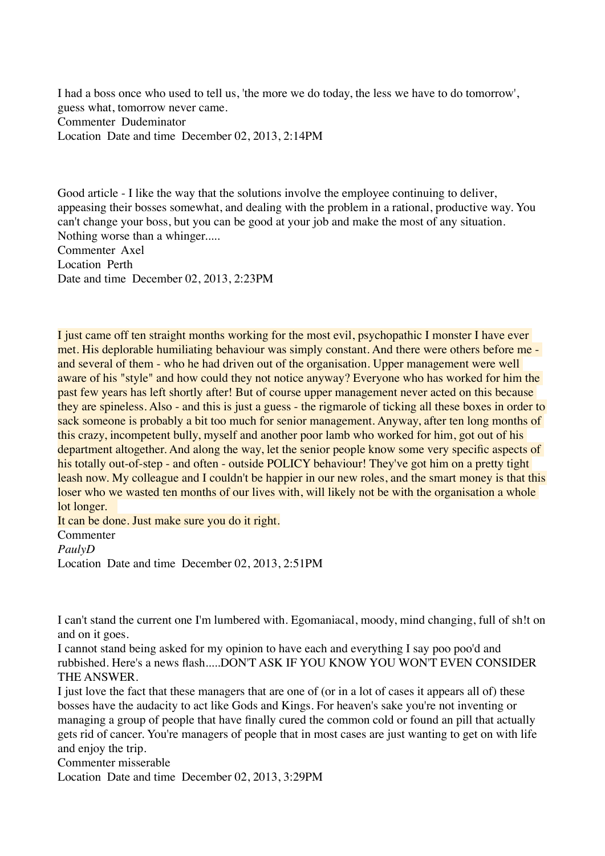I had a boss once who used to tell us, 'the more we do today, the less we have to do tomorrow', guess what, tomorrow never came. Commenter Dudeminator Location Date and time December 02, 2013, 2:14PM

Good article - I like the way that the solutions involve the employee continuing to deliver, appeasing their bosses somewhat, and dealing with the problem in a rational, productive way. You can't change your boss, but you can be good at your job and make the most of any situation. Nothing worse than a whinger..... Commenter Axel Location Perth Date and time December 02, 2013, 2:23PM

I just came off ten straight months working for the most evil, psychopathic I monster I have ever met. His deplorable humiliating behaviour was simply constant. And there were others before me and several of them - who he had driven out of the organisation. Upper management were well aware of his "style" and how could they not notice anyway? Everyone who has worked for him the past few years has left shortly after! But of course upper management never acted on this because they are spineless. Also - and this is just a guess - the rigmarole of ticking all these boxes in order to sack someone is probably a bit too much for senior management. Anyway, after ten long months of this crazy, incompetent bully, myself and another poor lamb who worked for him, got out of his department altogether. And along the way, let the senior people know some very specific aspects of his totally out-of-step - and often - outside POLICY behaviour! They've got him on a pretty tight leash now. My colleague and I couldn't be happier in our new roles, and the smart money is that this loser who we wasted ten months of our lives with, will likely not be with the organisation a whole lot longer.

It can be done. Just make sure you do it right.

Commenter

*PaulyD*

Location Date and time December 02, 2013, 2:51PM

I can't stand the current one I'm lumbered with. Egomaniacal, moody, mind changing, full of sh!t on and on it goes.

I cannot stand being asked for my opinion to have each and everything I say poo poo'd and rubbished. Here's a news flash.....DON'T ASK IF YOU KNOW YOU WON'T EVEN CONSIDER THE ANSWER.

I just love the fact that these managers that are one of (or in a lot of cases it appears all of) these bosses have the audacity to act like Gods and Kings. For heaven's sake you're not inventing or managing a group of people that have finally cured the common cold or found an pill that actually gets rid of cancer. You're managers of people that in most cases are just wanting to get on with life and enjoy the trip.

Commenter misserable

Location Date and time December 02, 2013, 3:29PM